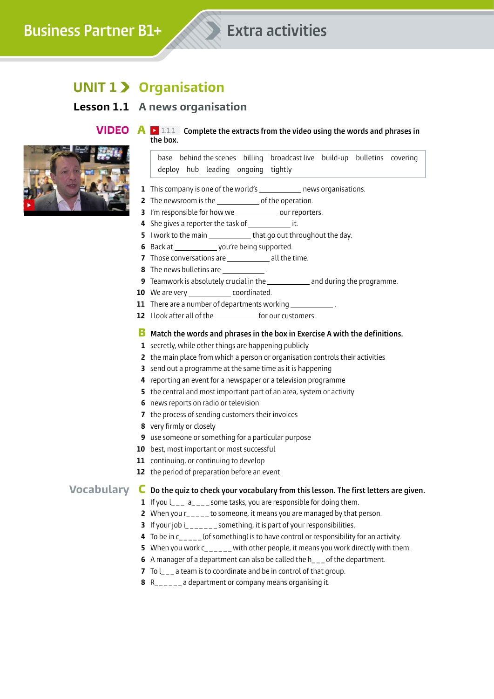## **UNIT 1 Organisation**

**Lesson 1.1 A news organisation** 



#### **VIDEO** A **E 1.1.1** Complete the extracts from the video using the words and phrases in **the box.**

base behind the scenes billing broadcast live build-up bulletins covering deploy hub leading ongoing tightly

- This company is one of the world's \_\_\_\_\_\_\_\_\_\_\_\_\_ news organisations.
- The newsroom is the \_\_\_\_\_\_\_\_\_\_\_\_\_\_ of the operation.
- I'm responsible for how we \_\_\_\_\_\_\_\_\_\_\_\_\_ our reporters.
- **4** She gives a reporter the task of **interest of the same of the state of**  $\frac{1}{\sqrt{1-\frac{1}{n}}}\int_0^{\frac{\pi}{n}}$  **it.**
- I work to the main that go out throughout the day.
- Back at \_\_\_\_\_\_\_\_\_\_\_\_\_\_\_ you're being supported.
- Those conversations are all the time.
- The news bulletins are
- Teamwork is absolutely crucial in the **and during the programme.**
- 10 We are very \_\_\_\_\_\_\_\_\_\_\_\_\_\_\_\_ coordinated.
- There are a number of departments working \_\_\_\_\_
- I look after all of the for our customers.

#### **B** Match the words and phrases in the box in Exercise A with the definitions.

- secretly, while other things are happening publicly
- the main place from which a person or organisation controls their activities
- send out a programme at the same time as it is happening
- reporting an event for a newspaper or a television programme
- the central and most important part of an area, system or activity
- news reports on radio or television
- the process of sending customers their invoices
- very firmly or closely
- use someone or something for a particular purpose
- best, most important or most successful
- 11 continuing, or continuing to develop
- the period of preparation before an event

#### **Vocabulary** C Do the quiz to check your vocabulary from this lesson. The first letters are given.

- **1** If you  $I_{--}$  a<sub>---</sub> some tasks, you are responsible for doing them.
- When you r **b** to someone, it means you are managed by that person.
- If your job i\_\_\_\_\_\_\_ something, it is part of your responsibilities.
- **4** To be in c<sub>\_\_\_\_\_</sub> (of something) is to have control or responsibility for an activity.
- When you work c\_\_\_\_\_\_ with other people, it means you work directly with them.
- **6** A manager of a department can also be called the h<sub>\_\_\_</sub> of the department.
- To lateam is to coordinate and be in control of that group.
- **8** R<sub>\_\_\_\_\_</sub>\_\_ a department or company means organising it.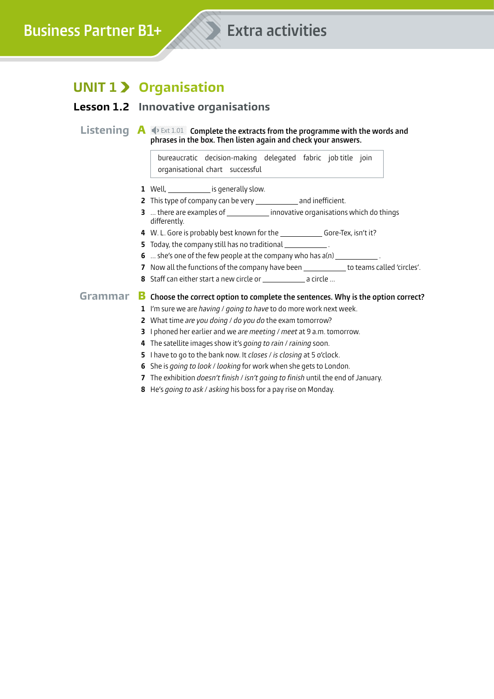## **UNIT 1 Organisation**

#### **Lesson 1.2 Innovative organisations**

**Listening A**  $\blacklozenge$  Ext 1.01 Complete the extracts from the programme with the words and **phrases in the box. Then listen again and check your answers.** 

> bureaucratic decision-making delegated fabric job title join organisational chart successful

- Well, is generally slow.
- This type of company can be very \_\_\_\_\_\_\_\_\_\_\_\_ and inefficient.
- … there are examples of innovative organisations which do things differently.
- W. L. Gore is probably best known for the Gore-Tex, isn't it?
- Today, the company still has no traditional
- ... she's one of the few people at the company who has a(n) \_\_\_\_\_\_\_\_\_\_\_\_\_\_\_\_\_
- Now all the functions of the company have been \_\_\_\_\_\_\_\_\_\_\_\_ to teams called 'circles'.
- Staff can either start a new circle or **comediate the circle** ...

#### **Grammar B** Choose the correct option to complete the sentences. Why is the option correct?

- I'm sure we are *having* / *going to have* to do more work next week.
- What time *are you doing* / *do you do* the exam tomorrow?
- I phoned her earlier and we *are meeting* / *meet* at 9 a.m. tomorrow.
- The satellite images show it's *going to rain* / *raining* soon.
- I have to go to the bank now. It *closes* / *is closing* at 5 o'clock.
- She is *going to look* / *looking* for work when she gets to London.
- The exhibition *doesn't finish / isn't going to finish* until the end of January.
- He's *going to ask* / *asking* his boss for a pay rise on Monday.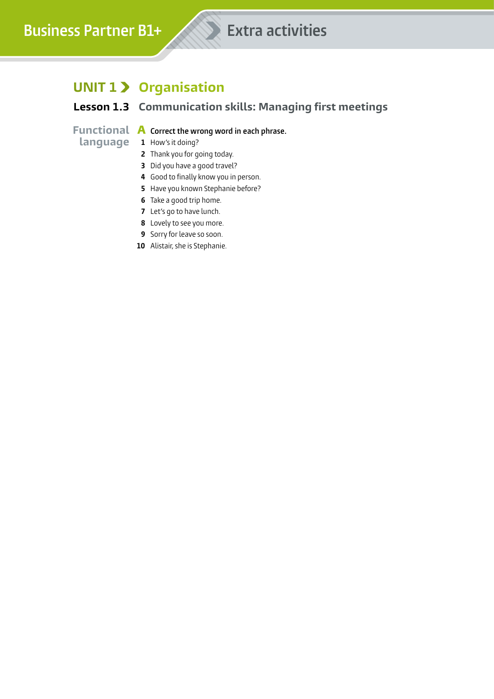# **UNIT 1 Organisation**

### **Lesson 1.3** Communication skills: Managing first meetings

### **Functional A** Correct the wrong word in each phrase.

### **language 1** How's it doing?

- Thank you for going today.
- Did you have a good travel?
- Good to finally know you in person.
- Have you known Stephanie before?
- Take a good trip home.
- Let's go to have lunch.
- Lovely to see you more.
- Sorry for leave so soon.
- Alistair, she is Stephanie.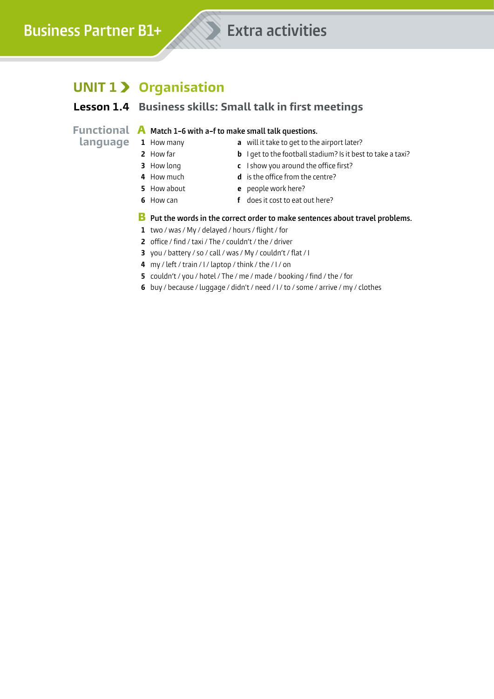## **UNIT 1 Organisation**

#### **Lesson 1.4** Business skills: Small talk in first meetings

#### **Functional A** Match 1-6 with a-f to make small talk questions.

**language**

### How many **a** will it take to get to the airport later?

- How far **b** I get to the football stadium? Is it best to take a taxi?
- How long **c** I show you around the office first?
- How much **d** is the office from the centre?
- 
- How about **e** people work here?
- How can **f** does it cost to eat out here?

#### **B** Put the words in the correct order to make sentences about travel problems.

- 1 two / was / My / delayed / hours / flight / for
- office / find / taxi / The / couldn't / the / driver
- you / battery / so / call / was / My / couldn't / flat / I
- my / left / train / I / laptop / think / the / I / on
- couldn't / you / hotel / The / me / made / booking / find / the / for
- buy / because / luggage / didn't / need / I / to / some / arrive / my / clothes